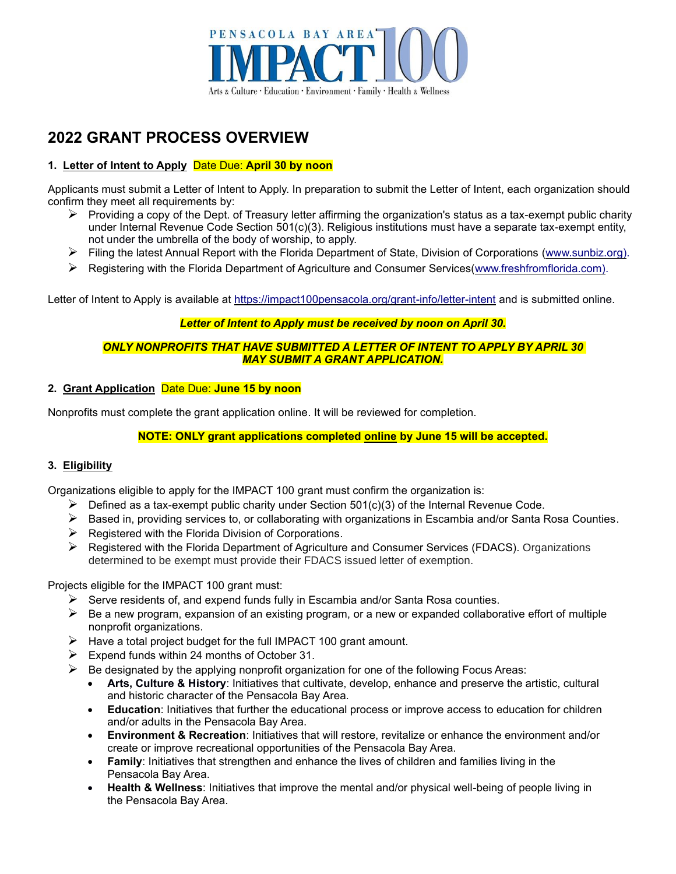

# **2022 GRANT PROCESS OVERVIEW**

# **1. Letter of Intent to Apply** Date Due: **April 30 by noon**

Applicants must submit a Letter of Intent to Apply. In preparation to submit the Letter of Intent, each organization should confirm they meet all requirements by:

- $\triangleright$  Providing a copy of the Dept. of Treasury letter affirming the organization's status as a tax-exempt public charity under Internal Revenue Code Section 501(c)(3). Religious institutions must have a separate tax-exempt entity, not under the umbrella of the body of worship, to apply.
- ➢ Filing the latest Annual Report with the Florida Department of State, Division of Corporations [\(www.sunbiz.org\)](http://dos.myflorida.com/sunbiz/).
- ➢ Registering with the Florida Department of Agriculture and Consumer Services[\(www.freshfromflorida.com\)](http://www.freshfromflorida.com/Business-Services/Solicitation-of-Contributions).

Letter of [Intent to Apply](http://impact100pensacola.org/grant-info/letter-of-intent/) is available at<https://impact100pensacola.org/grant-info/letter-intent> and is submitted online.

## *Letter of Intent to Apply must be received by noon on April 30.*

## *ONLY NONPROFITS THAT HAVE SUBMITTED A LETTER OF INTENT TO APPLY BY APRIL 30 MAY SUBMIT A GRANT APPLICATION.*

# **2. Grant Application** Date Due: **June 15 by noon**

Nonprofits must complete the grant application online. It will be reviewed for completion.

# **NOTE: ONLY grant applications completed online by June 15 will be accepted.**

## **3. Eligibility**

Organizations eligible to apply for the IMPACT 100 grant must confirm the organization is:

- $\triangleright$  Defined as a tax-exempt public charity under Section 501(c)(3) of the Internal Revenue Code.
- $\triangleright$  Based in, providing services to, or collaborating with organizations in Escambia and/or Santa Rosa Counties.
- $\triangleright$  Registered with the Florida Division of Corporations.
- ➢ Registered with the Florida Department of Agriculture and Consumer Services (FDACS). Organizations determined to be exempt must provide their FDACS issued letter of exemption.

Projects eligible for the IMPACT 100 grant must:

- $\triangleright$  Serve residents of, and expend funds fully in Escambia and/or Santa Rosa counties.
- $\triangleright$  Be a new program, expansion of an existing program, or a new or expanded collaborative effort of multiple nonprofit organizations.
- $\triangleright$  Have a total project budget for the full IMPACT 100 grant amount.
- $\triangleright$  Expend funds within 24 months of October 31.
- $\triangleright$  Be designated by the applying nonprofit organization for one of the following Focus Areas:
	- **Arts, Culture & History**: Initiatives that cultivate, develop, enhance and preserve the artistic, cultural and historic character of the Pensacola Bay Area.
	- **Education**: Initiatives that further the educational process or improve access to education for children and/or adults in the Pensacola Bay Area.
	- **Environment & Recreation**: Initiatives that will restore, revitalize or enhance the environment and/or create or improve recreational opportunities of the Pensacola Bay Area.
	- **Family**: Initiatives that strengthen and enhance the lives of children and families living in the Pensacola Bay Area.
	- **Health & Wellness**: Initiatives that improve the mental and/or physical well-being of people living in the Pensacola Bay Area.